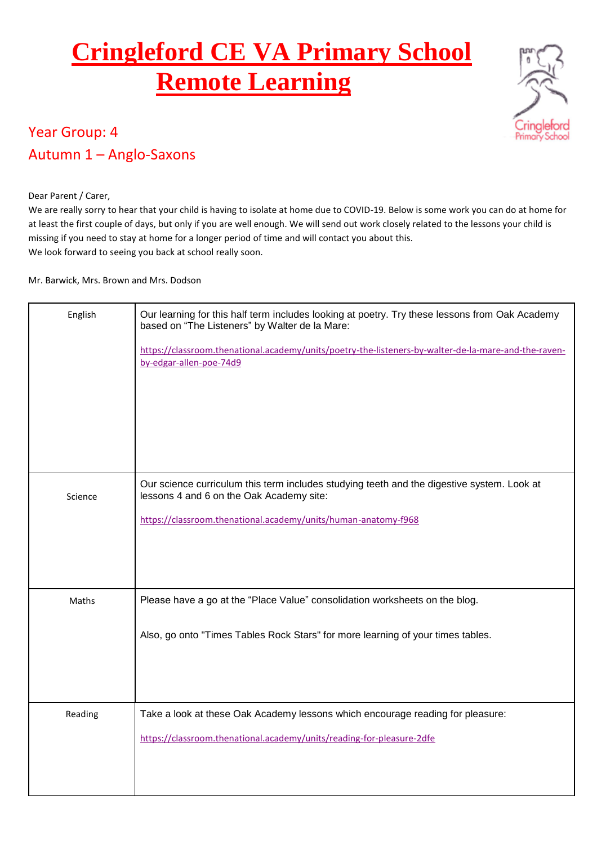## **Cringleford CE VA Primary School Remote Learning**



### Year Group: 4 Autumn 1 – Anglo-Saxons

#### Dear Parent / Carer,

We are really sorry to hear that your child is having to isolate at home due to COVID-19. Below is some work you can do at home for at least the first couple of days, but only if you are well enough. We will send out work closely related to the lessons your child is missing if you need to stay at home for a longer period of time and will contact you about this. We look forward to seeing you back at school really soon.

#### Mr. Barwick, Mrs. Brown and Mrs. Dodson

| English | Our learning for this half term includes looking at poetry. Try these lessons from Oak Academy<br>based on "The Listeners" by Walter de la Mare:<br>https://classroom.thenational.academy/units/poetry-the-listeners-by-walter-de-la-mare-and-the-raven-<br>by-edgar-allen-poe-74d9 |
|---------|-------------------------------------------------------------------------------------------------------------------------------------------------------------------------------------------------------------------------------------------------------------------------------------|
| Science | Our science curriculum this term includes studying teeth and the digestive system. Look at<br>lessons 4 and 6 on the Oak Academy site:<br>https://classroom.thenational.academy/units/human-anatomy-f968                                                                            |
| Maths   | Please have a go at the "Place Value" consolidation worksheets on the blog.<br>Also, go onto "Times Tables Rock Stars" for more learning of your times tables.                                                                                                                      |
| Reading | Take a look at these Oak Academy lessons which encourage reading for pleasure:<br>https://classroom.thenational.academy/units/reading-for-pleasure-2dfe                                                                                                                             |